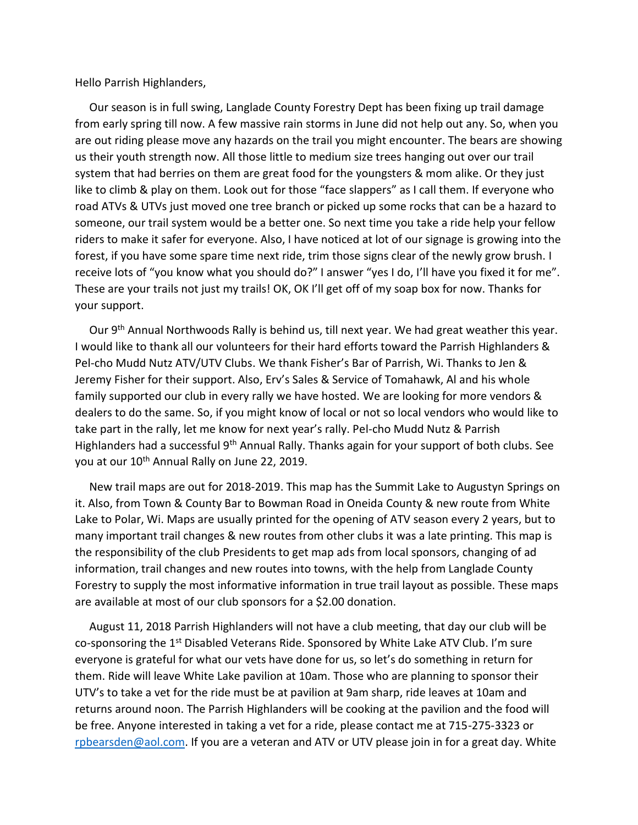Hello Parrish Highlanders,

 Our season is in full swing, Langlade County Forestry Dept has been fixing up trail damage from early spring till now. A few massive rain storms in June did not help out any. So, when you are out riding please move any hazards on the trail you might encounter. The bears are showing us their youth strength now. All those little to medium size trees hanging out over our trail system that had berries on them are great food for the youngsters & mom alike. Or they just like to climb & play on them. Look out for those "face slappers" as I call them. If everyone who road ATVs & UTVs just moved one tree branch or picked up some rocks that can be a hazard to someone, our trail system would be a better one. So next time you take a ride help your fellow riders to make it safer for everyone. Also, I have noticed at lot of our signage is growing into the forest, if you have some spare time next ride, trim those signs clear of the newly grow brush. I receive lots of "you know what you should do?" I answer "yes I do, I'll have you fixed it for me". These are your trails not just my trails! OK, OK I'll get off of my soap box for now. Thanks for your support.

Our 9<sup>th</sup> Annual Northwoods Rally is behind us, till next year. We had great weather this year. I would like to thank all our volunteers for their hard efforts toward the Parrish Highlanders & Pel-cho Mudd Nutz ATV/UTV Clubs. We thank Fisher's Bar of Parrish, Wi. Thanks to Jen & Jeremy Fisher for their support. Also, Erv's Sales & Service of Tomahawk, Al and his whole family supported our club in every rally we have hosted. We are looking for more vendors & dealers to do the same. So, if you might know of local or not so local vendors who would like to take part in the rally, let me know for next year's rally. Pel-cho Mudd Nutz & Parrish Highlanders had a successful 9<sup>th</sup> Annual Rally. Thanks again for your support of both clubs. See you at our 10<sup>th</sup> Annual Rally on June 22, 2019.

 New trail maps are out for 2018-2019. This map has the Summit Lake to Augustyn Springs on it. Also, from Town & County Bar to Bowman Road in Oneida County & new route from White Lake to Polar, Wi. Maps are usually printed for the opening of ATV season every 2 years, but to many important trail changes & new routes from other clubs it was a late printing. This map is the responsibility of the club Presidents to get map ads from local sponsors, changing of ad information, trail changes and new routes into towns, with the help from Langlade County Forestry to supply the most informative information in true trail layout as possible. These maps are available at most of our club sponsors for a \$2.00 donation.

 August 11, 2018 Parrish Highlanders will not have a club meeting, that day our club will be co-sponsoring the  $1<sup>st</sup>$  Disabled Veterans Ride. Sponsored by White Lake ATV Club. I'm sure everyone is grateful for what our vets have done for us, so let's do something in return for them. Ride will leave White Lake pavilion at 10am. Those who are planning to sponsor their UTV's to take a vet for the ride must be at pavilion at 9am sharp, ride leaves at 10am and returns around noon. The Parrish Highlanders will be cooking at the pavilion and the food will be free. Anyone interested in taking a vet for a ride, please contact me at 715-275-3323 or [rpbearsden@aol.com.](mailto:rpbearsden@aol.com) If you are a veteran and ATV or UTV please join in for a great day. White